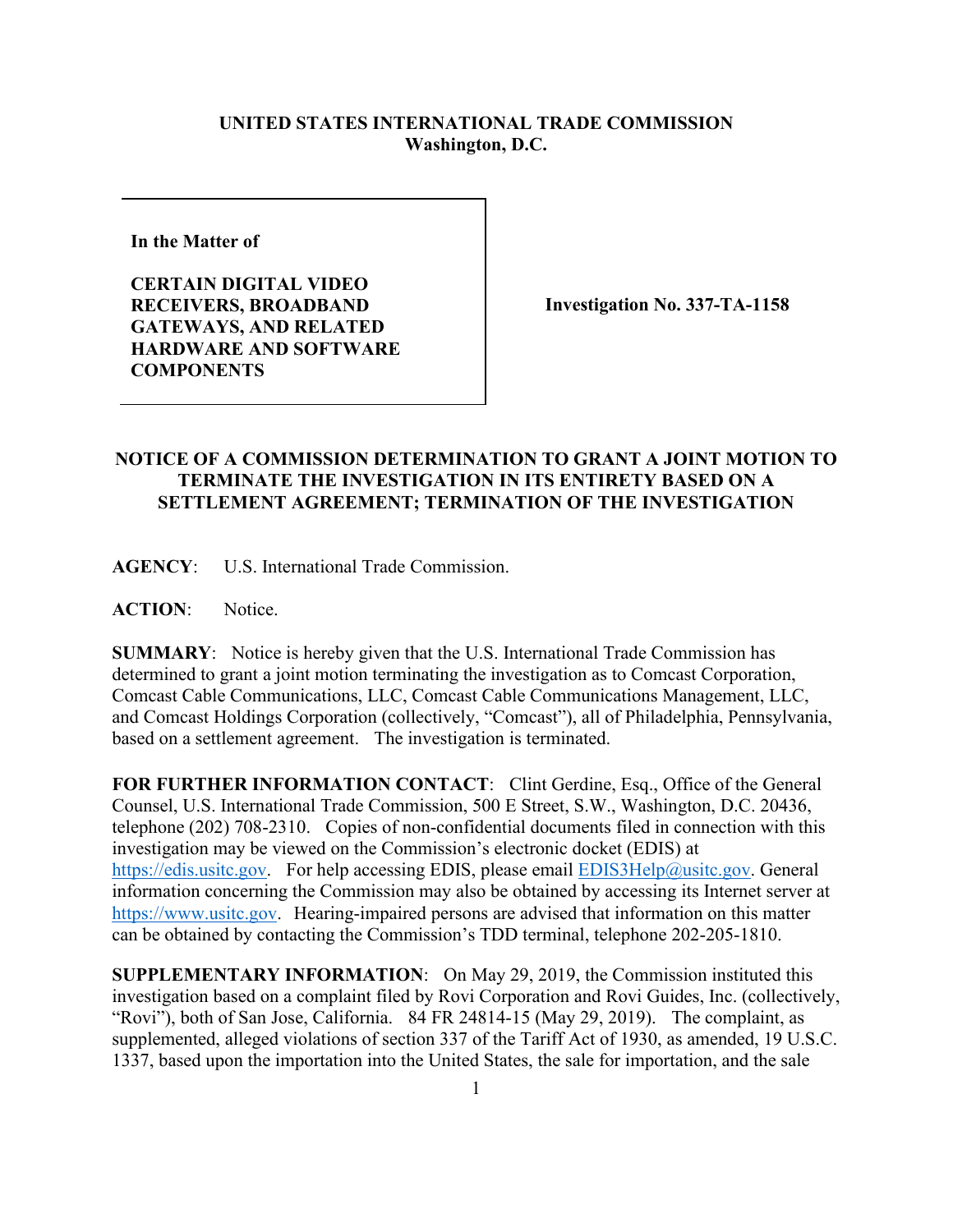## **UNITED STATES INTERNATIONAL TRADE COMMISSION Washington, D.C.**

**In the Matter of** 

**CERTAIN DIGITAL VIDEO RECEIVERS, BROADBAND GATEWAYS, AND RELATED HARDWARE AND SOFTWARE COMPONENTS**

**Investigation No. 337-TA-1158**

## **NOTICE OF A COMMISSION DETERMINATION TO GRANT A JOINT MOTION TO TERMINATE THE INVESTIGATION IN ITS ENTIRETY BASED ON A SETTLEMENT AGREEMENT; TERMINATION OF THE INVESTIGATION**

**AGENCY**: U.S. International Trade Commission.

**ACTION**: Notice.

**SUMMARY**: Notice is hereby given that the U.S. International Trade Commission has determined to grant a joint motion terminating the investigation as to Comcast Corporation, Comcast Cable Communications, LLC, Comcast Cable Communications Management, LLC, and Comcast Holdings Corporation (collectively, "Comcast"), all of Philadelphia, Pennsylvania, based on a settlement agreement. The investigation is terminated.

**FOR FURTHER INFORMATION CONTACT**: Clint Gerdine, Esq., Office of the General Counsel, U.S. International Trade Commission, 500 E Street, S.W., Washington, D.C. 20436, telephone (202) 708-2310. Copies of non-confidential documents filed in connection with this investigation may be viewed on the Commission's electronic docket (EDIS) at [https://edis.usitc.gov.](https://edis.usitc.gov/) For help accessing EDIS, please email [EDIS3Help@usitc.gov.](mailto:EDIS3Help@usitc.gov) General information concerning the Commission may also be obtained by accessing its Internet server at [https://www.usitc.gov.](https://www.usitc.gov/) Hearing-impaired persons are advised that information on this matter can be obtained by contacting the Commission's TDD terminal, telephone 202-205-1810.

**SUPPLEMENTARY INFORMATION**: On May 29, 2019, the Commission instituted this investigation based on a complaint filed by Rovi Corporation and Rovi Guides, Inc. (collectively, "Rovi"), both of San Jose, California. 84 FR 24814-15 (May 29, 2019). The complaint, as supplemented, alleged violations of section 337 of the Tariff Act of 1930, as amended, 19 U.S.C. 1337, based upon the importation into the United States, the sale for importation, and the sale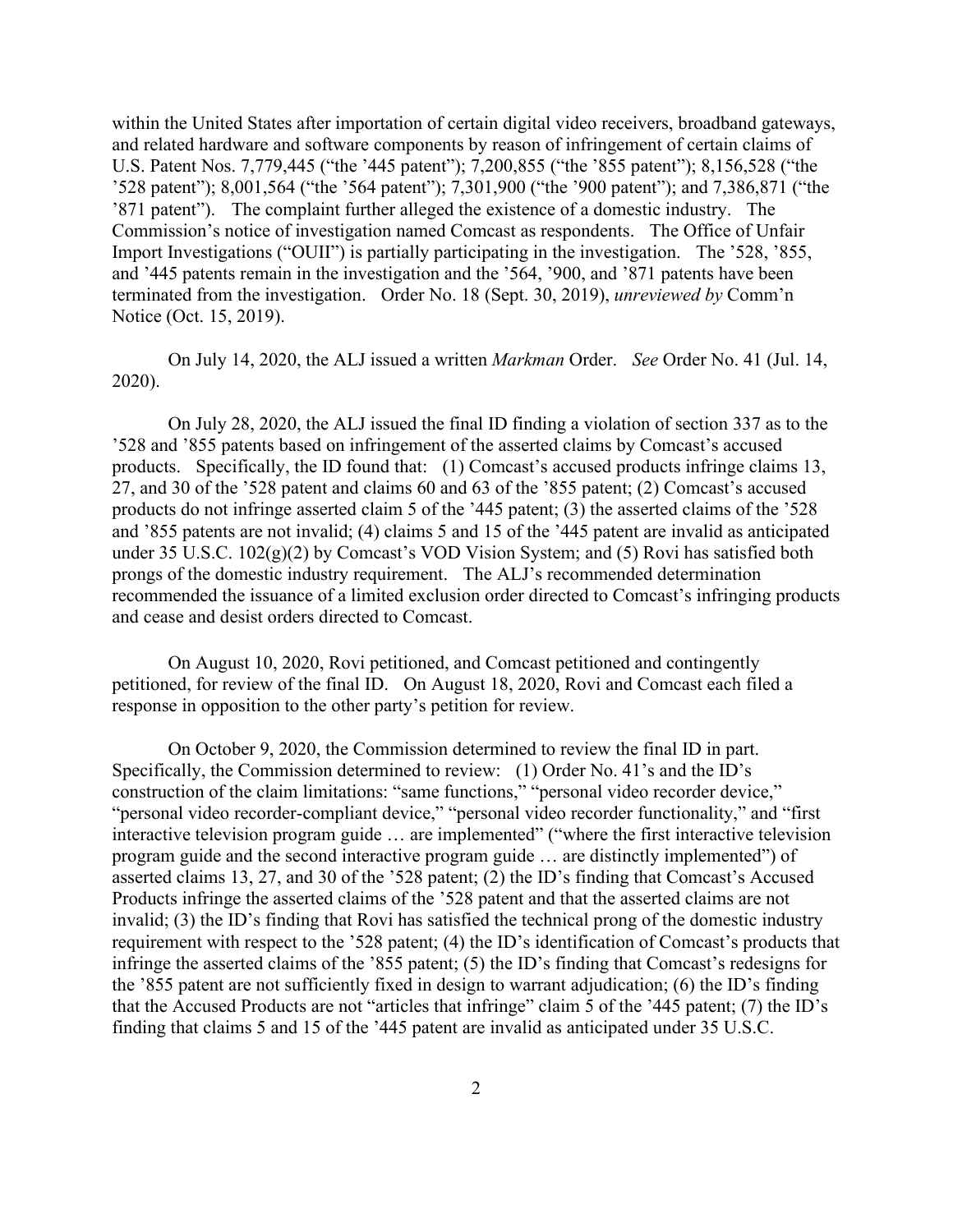within the United States after importation of certain digital video receivers, broadband gateways, and related hardware and software components by reason of infringement of certain claims of U.S. Patent Nos. 7,779,445 ("the '445 patent"); 7,200,855 ("the '855 patent"); 8,156,528 ("the '528 patent"); 8,001,564 ("the '564 patent"); 7,301,900 ("the '900 patent"); and 7,386,871 ("the '871 patent").The complaint further alleged the existence of a domestic industry. The Commission's notice of investigation named Comcast as respondents. The Office of Unfair Import Investigations ("OUII") is partially participating in the investigation. The '528, '855, and '445 patents remain in the investigation and the '564, '900, and '871 patents have been terminated from the investigation. Order No. 18 (Sept. 30, 2019), *unreviewed by* Comm'n Notice (Oct. 15, 2019).

On July 14, 2020, the ALJ issued a written *Markman* Order. *See* Order No. 41 (Jul. 14, 2020).

On July 28, 2020, the ALJ issued the final ID finding a violation of section 337 as to the '528 and '855 patents based on infringement of the asserted claims by Comcast's accused products. Specifically, the ID found that: (1) Comcast's accused products infringe claims 13, 27, and 30 of the '528 patent and claims 60 and 63 of the '855 patent; (2) Comcast's accused products do not infringe asserted claim 5 of the '445 patent; (3) the asserted claims of the '528 and '855 patents are not invalid; (4) claims 5 and 15 of the '445 patent are invalid as anticipated under 35 U.S.C.  $102(g)(2)$  by Comcast's VOD Vision System; and (5) Rovi has satisfied both prongs of the domestic industry requirement. The ALJ's recommended determination recommended the issuance of a limited exclusion order directed to Comcast's infringing products and cease and desist orders directed to Comcast.

On August 10, 2020, Rovi petitioned, and Comcast petitioned and contingently petitioned, for review of the final ID. On August 18, 2020, Rovi and Comcast each filed a response in opposition to the other party's petition for review.

On October 9, 2020, the Commission determined to review the final ID in part. Specifically, the Commission determined to review: (1) Order No. 41's and the ID's construction of the claim limitations: "same functions," "personal video recorder device," "personal video recorder-compliant device," "personal video recorder functionality," and "first interactive television program guide ... are implemented" ("where the first interactive television program guide and the second interactive program guide … are distinctly implemented") of asserted claims 13, 27, and 30 of the '528 patent; (2) the ID's finding that Comcast's Accused Products infringe the asserted claims of the '528 patent and that the asserted claims are not invalid; (3) the ID's finding that Rovi has satisfied the technical prong of the domestic industry requirement with respect to the '528 patent; (4) the ID's identification of Comcast's products that infringe the asserted claims of the '855 patent; (5) the ID's finding that Comcast's redesigns for the '855 patent are not sufficiently fixed in design to warrant adjudication; (6) the ID's finding that the Accused Products are not "articles that infringe" claim 5 of the '445 patent; (7) the ID's finding that claims 5 and 15 of the '445 patent are invalid as anticipated under 35 U.S.C.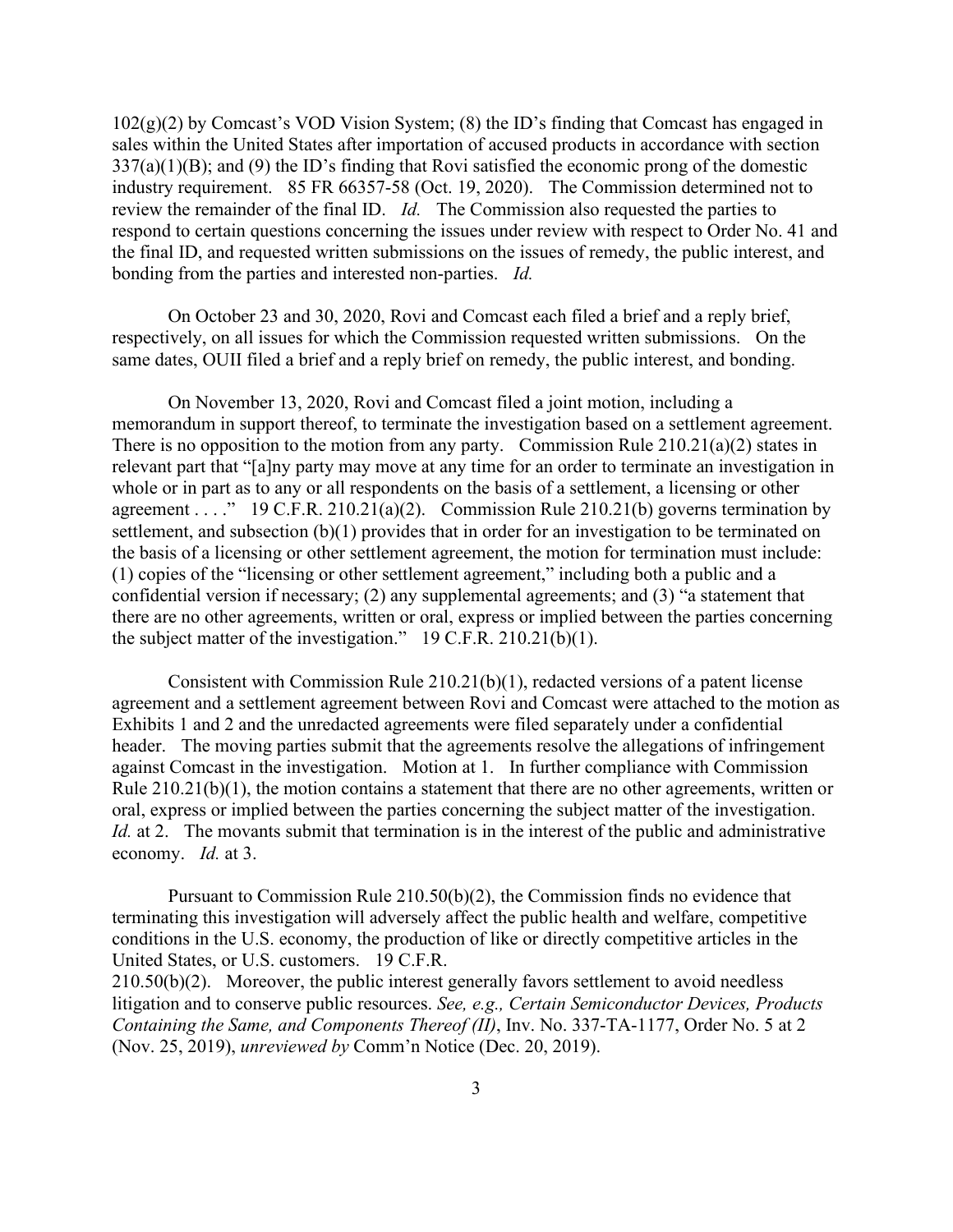$102(g)(2)$  by Comcast's VOD Vision System; (8) the ID's finding that Comcast has engaged in sales within the United States after importation of accused products in accordance with section 337(a)(1)(B); and (9) the ID's finding that Rovi satisfied the economic prong of the domestic industry requirement. 85 FR 66357-58 (Oct. 19, 2020). The Commission determined not to review the remainder of the final ID. *Id.* The Commission also requested the parties to respond to certain questions concerning the issues under review with respect to Order No. 41 and the final ID, and requested written submissions on the issues of remedy, the public interest, and bonding from the parties and interested non-parties. *Id.*

On October 23 and 30, 2020, Rovi and Comcast each filed a brief and a reply brief, respectively, on all issues for which the Commission requested written submissions. On the same dates, OUII filed a brief and a reply brief on remedy, the public interest, and bonding.

On November 13, 2020, Rovi and Comcast filed a joint motion, including a memorandum in support thereof, to terminate the investigation based on a settlement agreement. There is no opposition to the motion from any party. Commission Rule 210.21(a)(2) states in relevant part that "[a]ny party may move at any time for an order to terminate an investigation in whole or in part as to any or all respondents on the basis of a settlement, a licensing or other agreement . . . ." 19 C.F.R. 210.21(a)(2). Commission Rule 210.21(b) governs termination by settlement, and subsection (b)(1) provides that in order for an investigation to be terminated on the basis of a licensing or other settlement agreement, the motion for termination must include: (1) copies of the "licensing or other settlement agreement," including both a public and a confidential version if necessary; (2) any supplemental agreements; and (3) "a statement that there are no other agreements, written or oral, express or implied between the parties concerning the subject matter of the investigation." 19 C.F.R. 210.21(b)(1).

Consistent with Commission Rule 210.21(b)(1), redacted versions of a patent license agreement and a settlement agreement between Rovi and Comcast were attached to the motion as Exhibits 1 and 2 and the unredacted agreements were filed separately under a confidential header. The moving parties submit that the agreements resolve the allegations of infringement against Comcast in the investigation. Motion at 1. In further compliance with Commission Rule 210.21(b)(1), the motion contains a statement that there are no other agreements, written or oral, express or implied between the parties concerning the subject matter of the investigation. *Id.* at 2. The movants submit that termination is in the interest of the public and administrative economy. *Id.* at 3.

Pursuant to Commission Rule 210.50(b)(2), the Commission finds no evidence that terminating this investigation will adversely affect the public health and welfare, competitive conditions in the U.S. economy, the production of like or directly competitive articles in the United States, or U.S. customers. 19 C.F.R. 210.50(b)(2). Moreover, the public interest generally favors settlement to avoid needless litigation and to conserve public resources. *See, e.g., Certain Semiconductor Devices, Products* 

*Containing the Same, and Components Thereof (II)*, Inv. No. 337-TA-1177, Order No. 5 at 2 (Nov. 25, 2019), *unreviewed by* Comm'n Notice (Dec. 20, 2019).